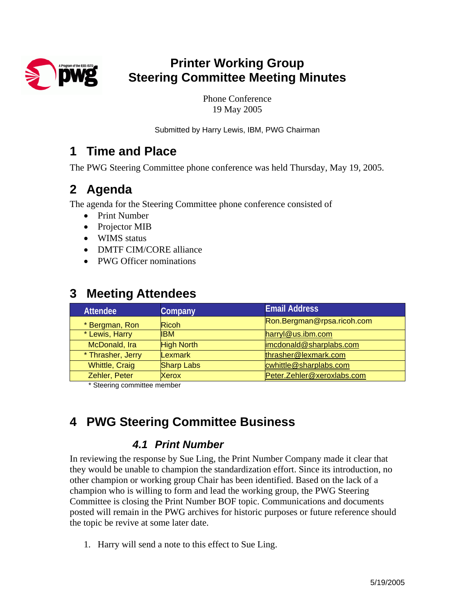

# **Printer Working Group Steering Committee Meeting Minutes**

Phone Conference 19 May 2005

Submitted by Harry Lewis, IBM, PWG Chairman

## **1 Time and Place**

The PWG Steering Committee phone conference was held Thursday, May 19, 2005.

## **2 Agenda**

The agenda for the Steering Committee phone conference consisted of

- Print Number
- Projector MIB
- WIMS status
- DMTF CIM/CORE alliance
- PWG Officer nominations

| <b>Attendee</b>       | Company           | <b>Email Address</b>       |
|-----------------------|-------------------|----------------------------|
| * Bergman, Ron        | <b>Ricoh</b>      | Ron.Bergman@rpsa.ricoh.com |
| * Lewis, Harry        | <b>IBM</b>        | harryl@us.ibm.com          |
| McDonald, Ira         | <b>High North</b> | imcdonald@sharplabs.com    |
| * Thrasher, Jerry     | Lexmark           | thrasher@lexmark.com       |
| <b>Whittle, Craig</b> | <b>Sharp Labs</b> | cwhittle@sharplabs.com     |
| Zehler, Peter         | Xerox             | Peter.Zehler@xeroxlabs.com |

## **3 Meeting Attendees**

\* Steering committee member

# **4 PWG Steering Committee Business**

### *4.1 Print Number*

In reviewing the response by Sue Ling, the Print Number Company made it clear that they would be unable to champion the standardization effort. Since its introduction, no other champion or working group Chair has been identified. Based on the lack of a champion who is willing to form and lead the working group, the PWG Steering Committee is closing the Print Number BOF topic. Communications and documents posted will remain in the PWG archives for historic purposes or future reference should the topic be revive at some later date.

1. Harry will send a note to this effect to Sue Ling.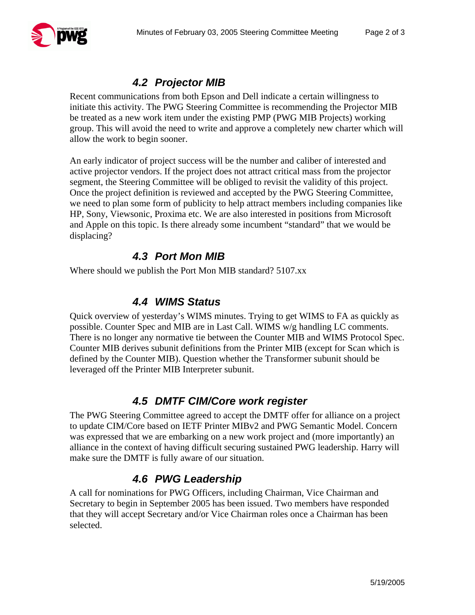

## *4.2 Projector MIB*

Recent communications from both Epson and Dell indicate a certain willingness to initiate this activity. The PWG Steering Committee is recommending the Projector MIB be treated as a new work item under the existing PMP (PWG MIB Projects) working group. This will avoid the need to write and approve a completely new charter which will allow the work to begin sooner.

An early indicator of project success will be the number and caliber of interested and active projector vendors. If the project does not attract critical mass from the projector segment, the Steering Committee will be obliged to revisit the validity of this project. Once the project definition is reviewed and accepted by the PWG Steering Committee, we need to plan some form of publicity to help attract members including companies like HP, Sony, Viewsonic, Proxima etc. We are also interested in positions from Microsoft and Apple on this topic. Is there already some incumbent "standard" that we would be displacing?

#### *4.3 Port Mon MIB*

Where should we publish the Port Mon MIB standard? 5107.xx

#### *4.4 WIMS Status*

Quick overview of yesterday's WIMS minutes. Trying to get WIMS to FA as quickly as possible. Counter Spec and MIB are in Last Call. WIMS w/g handling LC comments. There is no longer any normative tie between the Counter MIB and WIMS Protocol Spec. Counter MIB derives subunit definitions from the Printer MIB (except for Scan which is defined by the Counter MIB). Question whether the Transformer subunit should be leveraged off the Printer MIB Interpreter subunit.

#### *4.5 DMTF CIM/Core work register*

The PWG Steering Committee agreed to accept the DMTF offer for alliance on a project to update CIM/Core based on IETF Printer MIBv2 and PWG Semantic Model. Concern was expressed that we are embarking on a new work project and (more importantly) an alliance in the context of having difficult securing sustained PWG leadership. Harry will make sure the DMTF is fully aware of our situation.

### *4.6 PWG Leadership*

A call for nominations for PWG Officers, including Chairman, Vice Chairman and Secretary to begin in September 2005 has been issued. Two members have responded that they will accept Secretary and/or Vice Chairman roles once a Chairman has been selected.